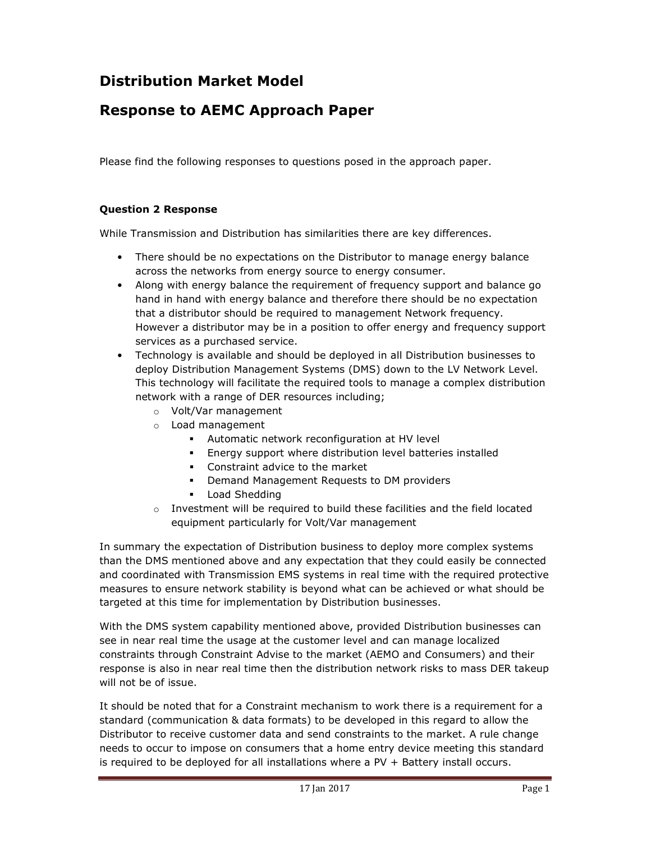#### Distribution Market Model

#### Response to AEMC Approach Paper

Please find the following responses to questions posed in the approach paper.

#### Question 2 Response

While Transmission and Distribution has similarities there are key differences.

- There should be no expectations on the Distributor to manage energy balance across the networks from energy source to energy consumer.
- Along with energy balance the requirement of frequency support and balance go hand in hand with energy balance and therefore there should be no expectation that a distributor should be required to management Network frequency. However a distributor may be in a position to offer energy and frequency support services as a purchased service.
- Technology is available and should be deployed in all Distribution businesses to deploy Distribution Management Systems (DMS) down to the LV Network Level. This technology will facilitate the required tools to manage a complex distribution network with a range of DER resources including;
	- o Volt/Var management
	- o Load management
		- Automatic network reconfiguration at HV level
		- Energy support where distribution level batteries installed
		- **Constraint advice to the market**
		- **Demand Management Requests to DM providers**
		- **Load Shedding**
	- o Investment will be required to build these facilities and the field located equipment particularly for Volt/Var management

In summary the expectation of Distribution business to deploy more complex systems than the DMS mentioned above and any expectation that they could easily be connected and coordinated with Transmission EMS systems in real time with the required protective measures to ensure network stability is beyond what can be achieved or what should be targeted at this time for implementation by Distribution businesses.

With the DMS system capability mentioned above, provided Distribution businesses can see in near real time the usage at the customer level and can manage localized constraints through Constraint Advise to the market (AEMO and Consumers) and their response is also in near real time then the distribution network risks to mass DER takeup will not be of issue.

It should be noted that for a Constraint mechanism to work there is a requirement for a standard (communication & data formats) to be developed in this regard to allow the Distributor to receive customer data and send constraints to the market. A rule change needs to occur to impose on consumers that a home entry device meeting this standard is required to be deployed for all installations where a PV + Battery install occurs.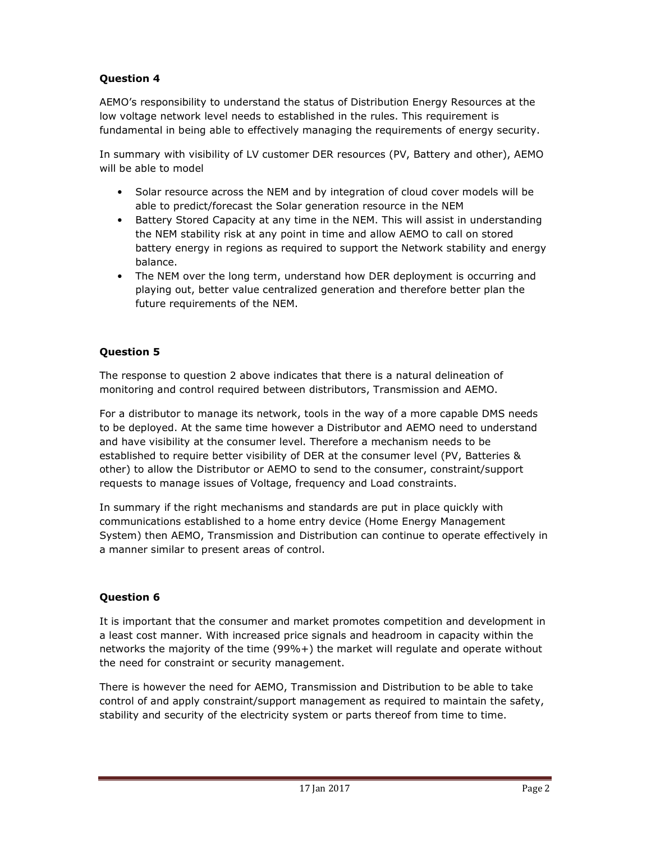#### Question 4

AEMO's responsibility to understand the status of Distribution Energy Resources at the low voltage network level needs to established in the rules. This requirement is fundamental in being able to effectively managing the requirements of energy security.

In summary with visibility of LV customer DER resources (PV, Battery and other), AEMO will be able to model

- Solar resource across the NEM and by integration of cloud cover models will be able to predict/forecast the Solar generation resource in the NEM
- Battery Stored Capacity at any time in the NEM. This will assist in understanding the NEM stability risk at any point in time and allow AEMO to call on stored battery energy in regions as required to support the Network stability and energy balance.
- The NEM over the long term, understand how DER deployment is occurring and playing out, better value centralized generation and therefore better plan the future requirements of the NEM.

#### Question 5

The response to question 2 above indicates that there is a natural delineation of monitoring and control required between distributors, Transmission and AEMO.

For a distributor to manage its network, tools in the way of a more capable DMS needs to be deployed. At the same time however a Distributor and AEMO need to understand and have visibility at the consumer level. Therefore a mechanism needs to be established to require better visibility of DER at the consumer level (PV, Batteries & other) to allow the Distributor or AEMO to send to the consumer, constraint/support requests to manage issues of Voltage, frequency and Load constraints.

In summary if the right mechanisms and standards are put in place quickly with communications established to a home entry device (Home Energy Management System) then AEMO, Transmission and Distribution can continue to operate effectively in a manner similar to present areas of control.

#### Question 6

It is important that the consumer and market promotes competition and development in a least cost manner. With increased price signals and headroom in capacity within the networks the majority of the time (99%+) the market will regulate and operate without the need for constraint or security management.

There is however the need for AEMO, Transmission and Distribution to be able to take control of and apply constraint/support management as required to maintain the safety, stability and security of the electricity system or parts thereof from time to time.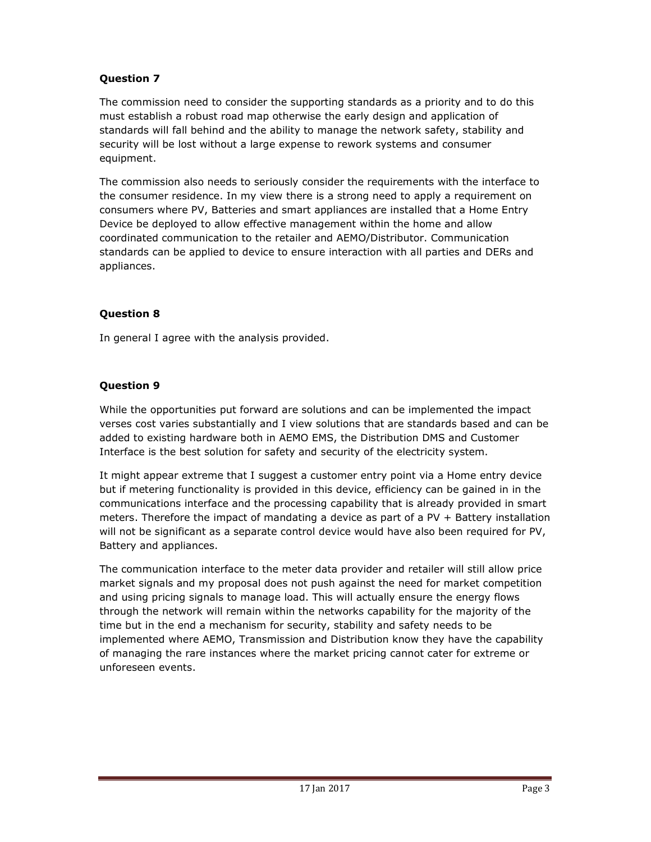#### Question 7

The commission need to consider the supporting standards as a priority and to do this must establish a robust road map otherwise the early design and application of standards will fall behind and the ability to manage the network safety, stability and security will be lost without a large expense to rework systems and consumer equipment.

The commission also needs to seriously consider the requirements with the interface to the consumer residence. In my view there is a strong need to apply a requirement on consumers where PV, Batteries and smart appliances are installed that a Home Entry Device be deployed to allow effective management within the home and allow coordinated communication to the retailer and AEMO/Distributor. Communication standards can be applied to device to ensure interaction with all parties and DERs and appliances.

#### Question 8

In general I agree with the analysis provided.

#### Question 9

While the opportunities put forward are solutions and can be implemented the impact verses cost varies substantially and I view solutions that are standards based and can be added to existing hardware both in AEMO EMS, the Distribution DMS and Customer Interface is the best solution for safety and security of the electricity system.

It might appear extreme that I suggest a customer entry point via a Home entry device but if metering functionality is provided in this device, efficiency can be gained in in the communications interface and the processing capability that is already provided in smart meters. Therefore the impact of mandating a device as part of a PV + Battery installation will not be significant as a separate control device would have also been required for PV, Battery and appliances.

The communication interface to the meter data provider and retailer will still allow price market signals and my proposal does not push against the need for market competition and using pricing signals to manage load. This will actually ensure the energy flows through the network will remain within the networks capability for the majority of the time but in the end a mechanism for security, stability and safety needs to be implemented where AEMO, Transmission and Distribution know they have the capability of managing the rare instances where the market pricing cannot cater for extreme or unforeseen events.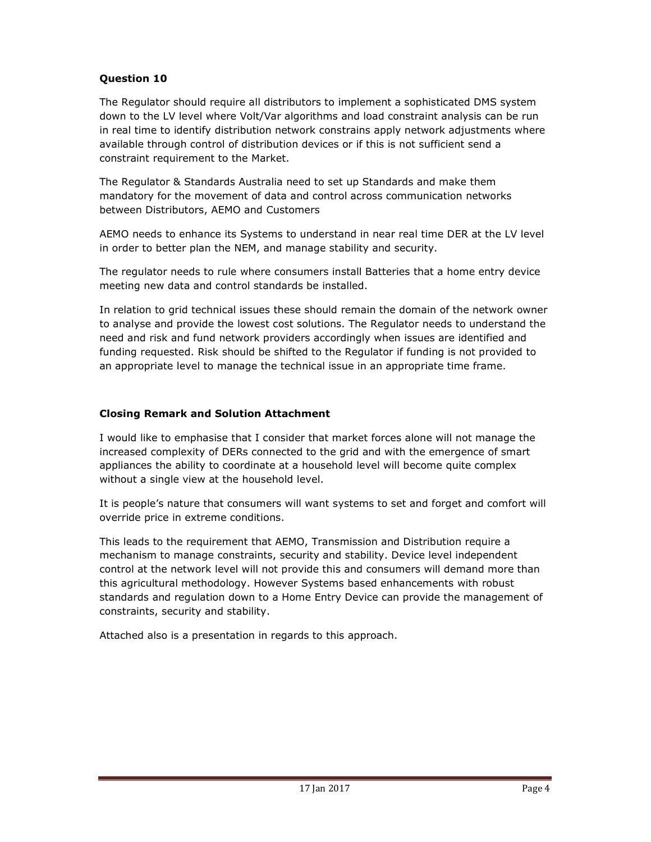#### Question 10

The Regulator should require all distributors to implement a sophisticated DMS system down to the LV level where Volt/Var algorithms and load constraint analysis can be run in real time to identify distribution network constrains apply network adjustments where available through control of distribution devices or if this is not sufficient send a constraint requirement to the Market.

The Regulator & Standards Australia need to set up Standards and make them mandatory for the movement of data and control across communication networks between Distributors, AEMO and Customers

AEMO needs to enhance its Systems to understand in near real time DER at the LV level in order to better plan the NEM, and manage stability and security.

The regulator needs to rule where consumers install Batteries that a home entry device meeting new data and control standards be installed.

In relation to grid technical issues these should remain the domain of the network owner to analyse and provide the lowest cost solutions. The Regulator needs to understand the need and risk and fund network providers accordingly when issues are identified and funding requested. Risk should be shifted to the Regulator if funding is not provided to an appropriate level to manage the technical issue in an appropriate time frame.

#### Closing Remark and Solution Attachment

I would like to emphasise that I consider that market forces alone will not manage the increased complexity of DERs connected to the grid and with the emergence of smart appliances the ability to coordinate at a household level will become quite complex without a single view at the household level.

It is people's nature that consumers will want systems to set and forget and comfort will override price in extreme conditions.

This leads to the requirement that AEMO, Transmission and Distribution require a mechanism to manage constraints, security and stability. Device level independent control at the network level will not provide this and consumers will demand more than this agricultural methodology. However Systems based enhancements with robust standards and regulation down to a Home Entry Device can provide the management of constraints, security and stability.

Attached also is a presentation in regards to this approach.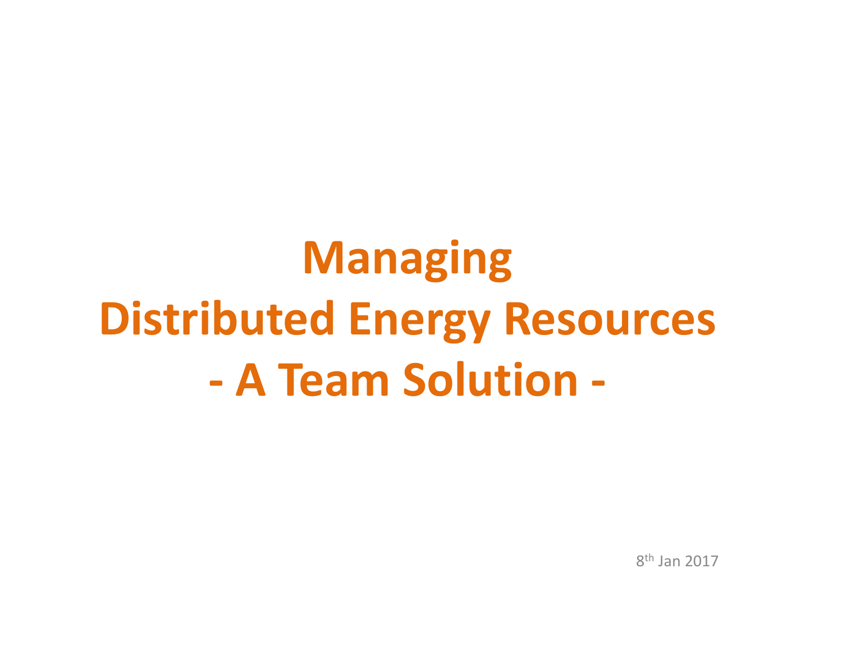# Managing Distributed Energy Resources A Team Solution -

8<sup>th</sup> Jan 2017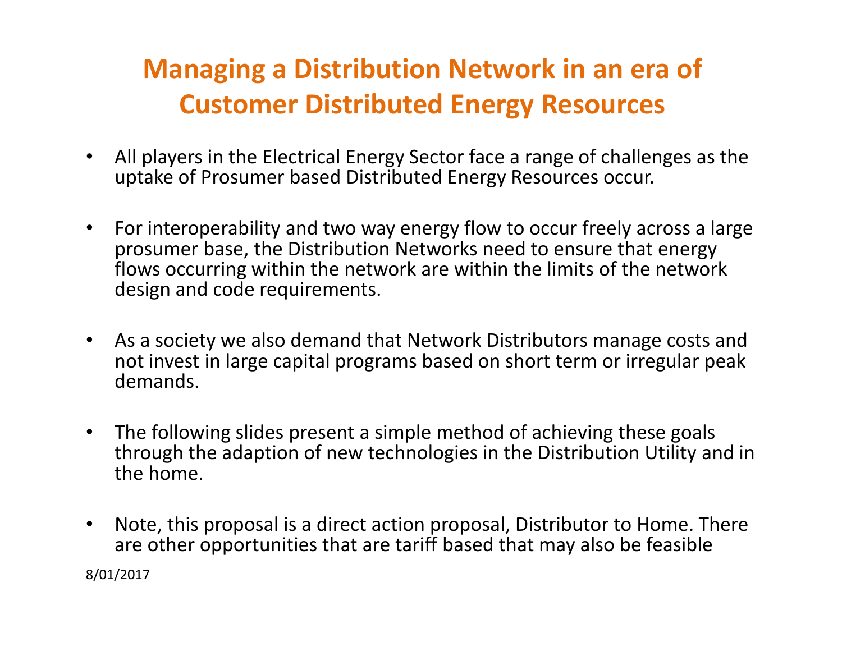### Managing a Distribution Network in an era of Customer Distributed Energy Resources

- • All players in the Electrical Energy Sector face a range of challenges as the uptake of Prosumer based Distributed Energy Resources occur.
- $\bullet$  For interoperability and two way energy flow to occur freely across a large prosumer base, the Distribution Networks need to ensure that energy flows occurring within the network are within the limits of the network design and code requirements.
- $\bullet$  As a society we also demand that Network Distributors manage costs and not invest in large capital programs based on short term or irregular peak demands.
- $\bullet$  The following slides present a simple method of achieving these goals through the adaption of new technologies in the Distribution Utility and in the home.
- $\bullet$  Note, this proposal is a direct action proposal, Distributor to Home. There are other opportunities that are tariff based that may also be feasible8/01/2017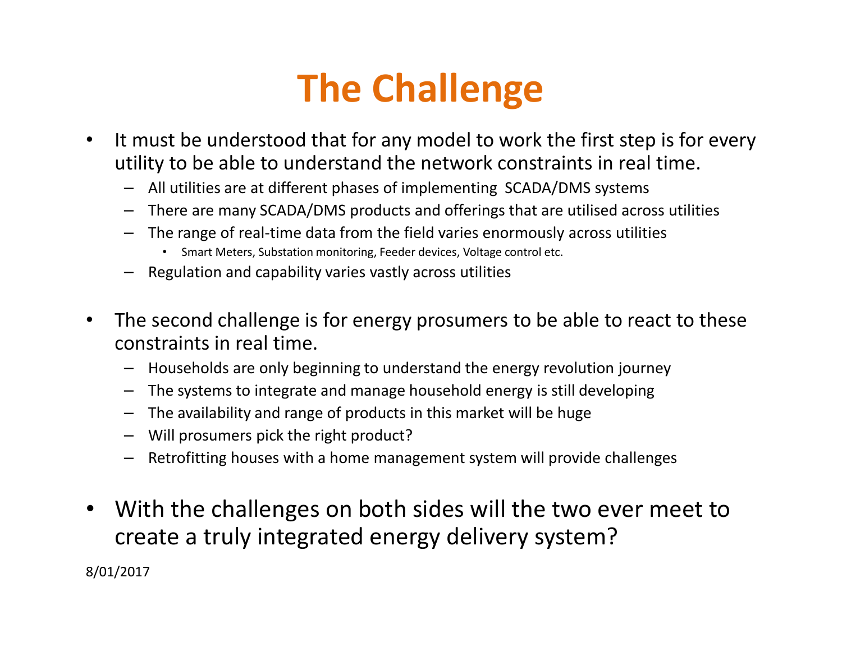## The Challenge

- $\bullet$  It must be understood that for any model to work the first step is for every utility to be able to understand the network constraints in real time.
	- All utilities are at different phases of implementing SCADA/DMS systems
	- There are many SCADA/DMS products and offerings that are utilised across utilities
	- The range of real-time data from the field varies enormously across utilities
		- Smart Meters, Substation monitoring, Feeder devices, Voltage control etc.
	- Regulation and capability varies vastly across utilities
- $\bullet$  The second challenge is for energy prosumers to be able to react to these constraints in real time.
	- Households are only beginning to understand the energy revolution journey
	- The systems to integrate and manage household energy is still developing
	- The availability and range of products in this market will be huge
	- Will prosumers pick the right product?
	- Retrofitting houses with a home management system will provide challenges
- $\bullet$  With the challenges on both sides will the two ever meet to create a truly integrated energy delivery system?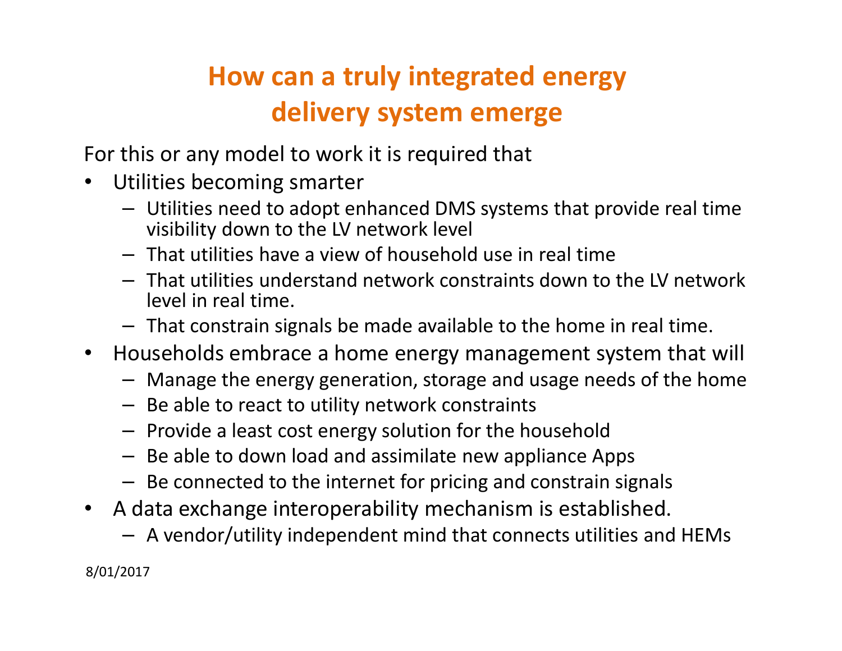### How can a truly integrated energy delivery system emerge

For this or any model to work it is required that

- $\bullet$  Utilities becoming smarter
	- Utilities need to adopt enhanced DMS systems that provide real time visibility down to the LV network level
	- That utilities have a view of household use in real time
	- That utilities understand network constraints down to the LV network level in real time.
	- That constrain signals be made available to the home in real time.
- Households embrace a home energy management system that will
	- Manage the energy generation, storage and usage needs of the home
	- Be able to react to utility network constraints
	- Provide a least cost energy solution for the household
	- Be able to down load and assimilate new appliance Apps
	- Be connected to the internet for pricing and constrain signals
- $\bullet$  A data exchange interoperability mechanism is established.
	- –A vendor/utility independent mind that connects utilities and HEMs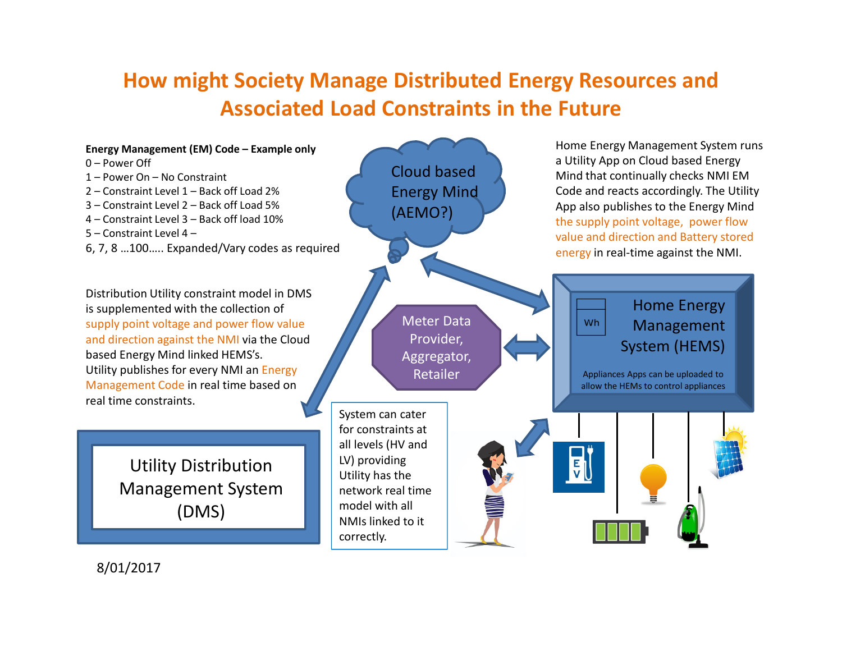### How might Society Manage Distributed Energy Resources and Associated Load Constraints in the Future

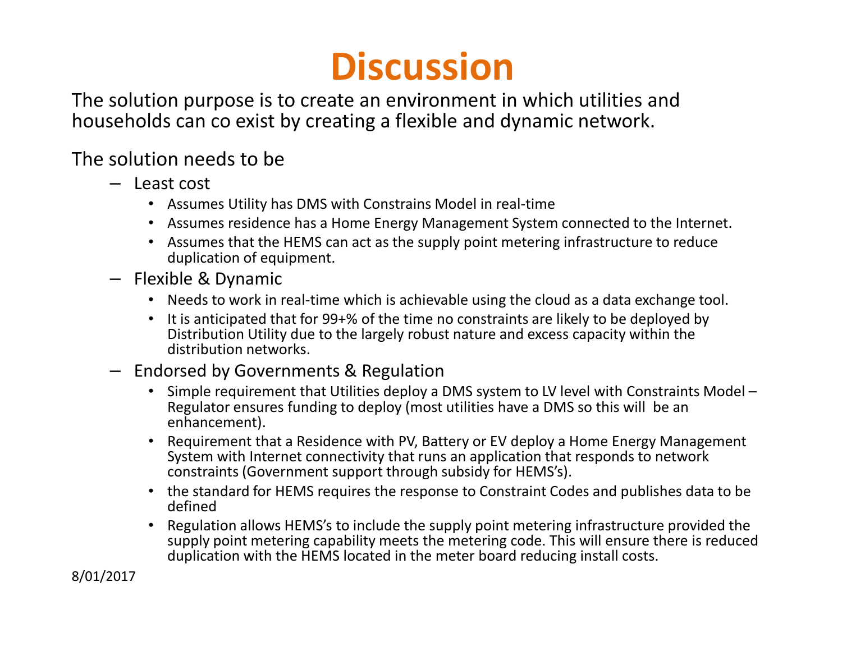## **Discussion**

 The solution purpose is to create an environment in which utilities and households can co exist by creating a flexible and dynamic network.

#### The solution needs to be

- Least cost
	- Assumes Utility has DMS with Constrains Model in real-time
	- Assumes residence has a Home Energy Management System connected to the Internet.
	- Assumes that the HEMS can act as the supply point metering infrastructure to reduce duplication of equipment.
- Flexible & Dynamic
	- Needs to work in real-time which is achievable using the cloud as a data exchange tool.
	- It is anticipated that for 99+% of the time no constraints are likely to be deployed by Distribution Utility due to the largely robust nature and excess capacity within the distribution networks.
- Endorsed by Governments & Regulation
	- Simple requirement that Utilities deploy a DMS system to LV level with Constraints Model –Regulator ensures funding to deploy (most utilities have a DMS so this will be an enhancement).
	- Requirement that a Residence with PV, Battery or EV deploy a Home Energy Management System with Internet connectivity that runs an application that responds to network constraints (Government support through subsidy for HEMS's).
	- the standard for HEMS requires the response to Constraint Codes and publishes data to be defined
	- Regulation allows HEMS's to include the supply point metering infrastructure provided the supply point metering capability meets the metering code. This will ensure there is reduced duplication with the HEMS located in the meter board reducing install costs.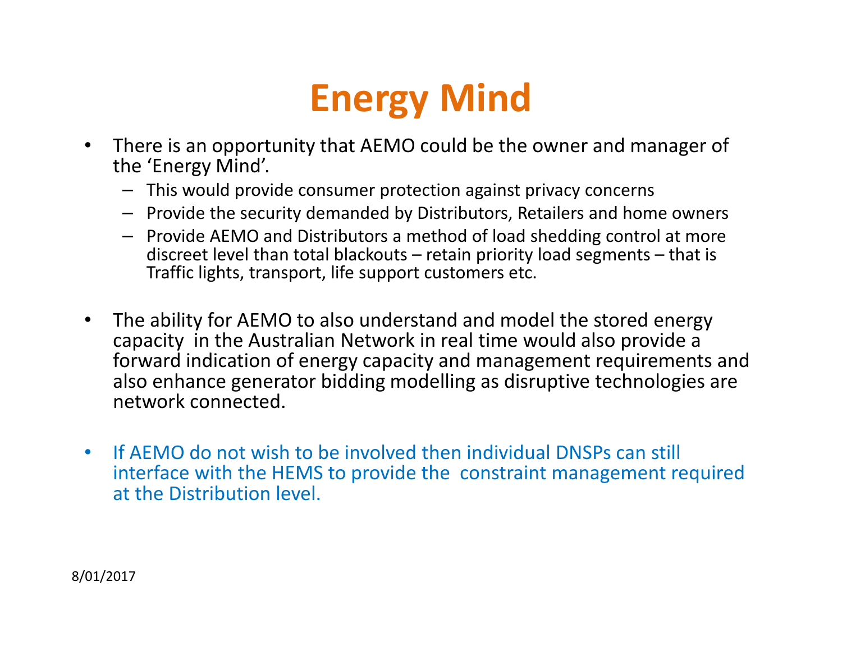## Energy Mind

- $\bullet$  There is an opportunity that AEMO could be the owner and manager of the 'Energy Mind'.
	- This would provide consumer protection against privacy concerns
	- Provide the security demanded by Distributors, Retailers and home owners
	- Provide AEMO and Distributors a method of load shedding control at more discreet level than total blackouts – retain priority load segments – that is Traffic lights, transport, life support customers etc.
- $\bullet$  The ability for AEMO to also understand and model the stored energy capacity in the Australian Network in real time would also provide a forward indication of energy capacity and management requirements and also enhance generator bidding modelling as disruptive technologies are network connected.
- $\bullet$  If AEMO do not wish to be involved then individual DNSPs can still interface with the HEMS to provide the constraint management required at the Distribution level.